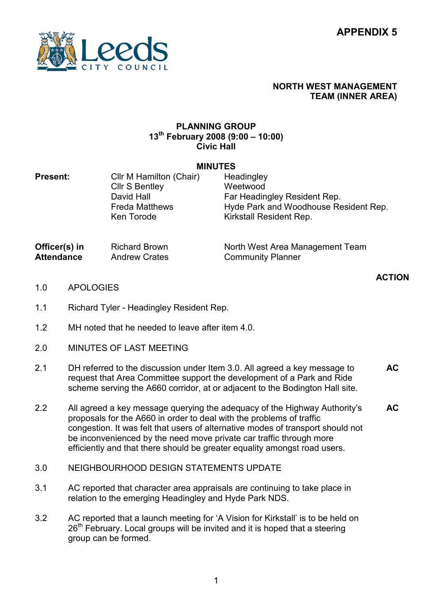

## NORTH WEST MANAGEMENT TEAM (INNER AREA)

North West Area Management Team

Community Planner

## PLANNING GROUP  $13^{th}$  February 2008 (9:00 – 10:00) Civic Hall

## MINUTES

| <b>Present:</b> | Cllr M Hamilton (Chair) | Headingley                            |
|-----------------|-------------------------|---------------------------------------|
|                 | <b>Cllr S Bentley</b>   | Weetwood                              |
|                 | David Hall              | Far Headingley Resident Rep.          |
|                 | <b>Freda Matthews</b>   | Hyde Park and Woodhouse Resident Rep. |
|                 | Ken Torode              | Kirkstall Resident Rep.               |
|                 |                         |                                       |
|                 |                         |                                       |

Officer(s) in **Attendance** Richard Brown Andrew Crates

ACTION

- 1.0 APOLOGIES
- 1.1 Richard Tyler - Headingley Resident Rep.
- 1.2 MH noted that he needed to leave after item 4.0.
- 2.0 MINUTES OF LAST MEETING
- 2.1 DH referred to the discussion under Item 3.0. All agreed a key message to request that Area Committee support the development of a Park and Ride scheme serving the A660 corridor, at or adjacent to the Bodington Hall site. AC
- 2.2 All agreed a key message querying the adequacy of the Highway Authority's proposals for the A660 in order to deal with the problems of traffic congestion. It was felt that users of alternative modes of transport should not be inconvenienced by the need move private car traffic through more efficiently and that there should be greater equality amongst road users. AC
- 3.0 NEIGHBOURHOOD DESIGN STATEMENTS UPDATE
- 3.1 AC reported that character area appraisals are continuing to take place in relation to the emerging Headingley and Hyde Park NDS.
- 3.2 AC reported that a launch meeting for 'A Vision for Kirkstall' is to be held on  $26<sup>th</sup>$  February. Local groups will be invited and it is hoped that a steering group can be formed.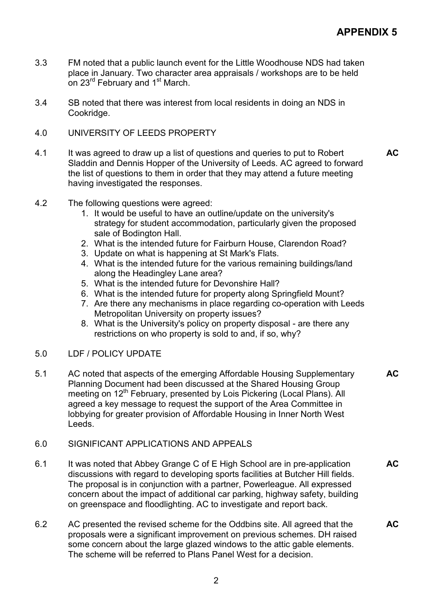- 3.3 FM noted that a public launch event for the Little Woodhouse NDS had taken place in January. Two character area appraisals / workshops are to be held on 23<sup>rd</sup> February and 1<sup>st</sup> March.
- 3.4 SB noted that there was interest from local residents in doing an NDS in Cookridge.
- 4.0 UNIVERSITY OF LEEDS PROPERTY
- 4.1 It was agreed to draw up a list of questions and queries to put to Robert Sladdin and Dennis Hopper of the University of Leeds. AC agreed to forward the list of questions to them in order that they may attend a future meeting having investigated the responses. AC
- 4.2 The following questions were agreed:
	- 1. It would be useful to have an outline/update on the university's strategy for student accommodation, particularly given the proposed sale of Bodington Hall.
	- 2. What is the intended future for Fairburn House, Clarendon Road?
	- 3. Update on what is happening at St Mark's Flats.
	- 4. What is the intended future for the various remaining buildings/land along the Headingley Lane area?
	- 5. What is the intended future for Devonshire Hall?
	- 6. What is the intended future for property along Springfield Mount?
	- 7. Are there any mechanisms in place regarding co-operation with Leeds Metropolitan University on property issues?
	- 8. What is the University's policy on property disposal are there any restrictions on who property is sold to and, if so, why?
- 5.0 LDF / POLICY UPDATE
- 5.1 AC noted that aspects of the emerging Affordable Housing Supplementary Planning Document had been discussed at the Shared Housing Group meeting on 12<sup>th</sup> February, presented by Lois Pickering (Local Plans). All agreed a key message to request the support of the Area Committee in lobbying for greater provision of Affordable Housing in Inner North West Leeds. AC
- 6.0 SIGNIFICANT APPLICATIONS AND APPEALS
- 6.1 It was noted that Abbey Grange C of E High School are in pre-application discussions with regard to developing sports facilities at Butcher Hill fields. The proposal is in conjunction with a partner, Powerleague. All expressed concern about the impact of additional car parking, highway safety, building on greenspace and floodlighting. AC to investigate and report back. **AC**
- 6.2 AC presented the revised scheme for the Oddbins site. All agreed that the proposals were a significant improvement on previous schemes. DH raised some concern about the large glazed windows to the attic gable elements. The scheme will be referred to Plans Panel West for a decision. AC